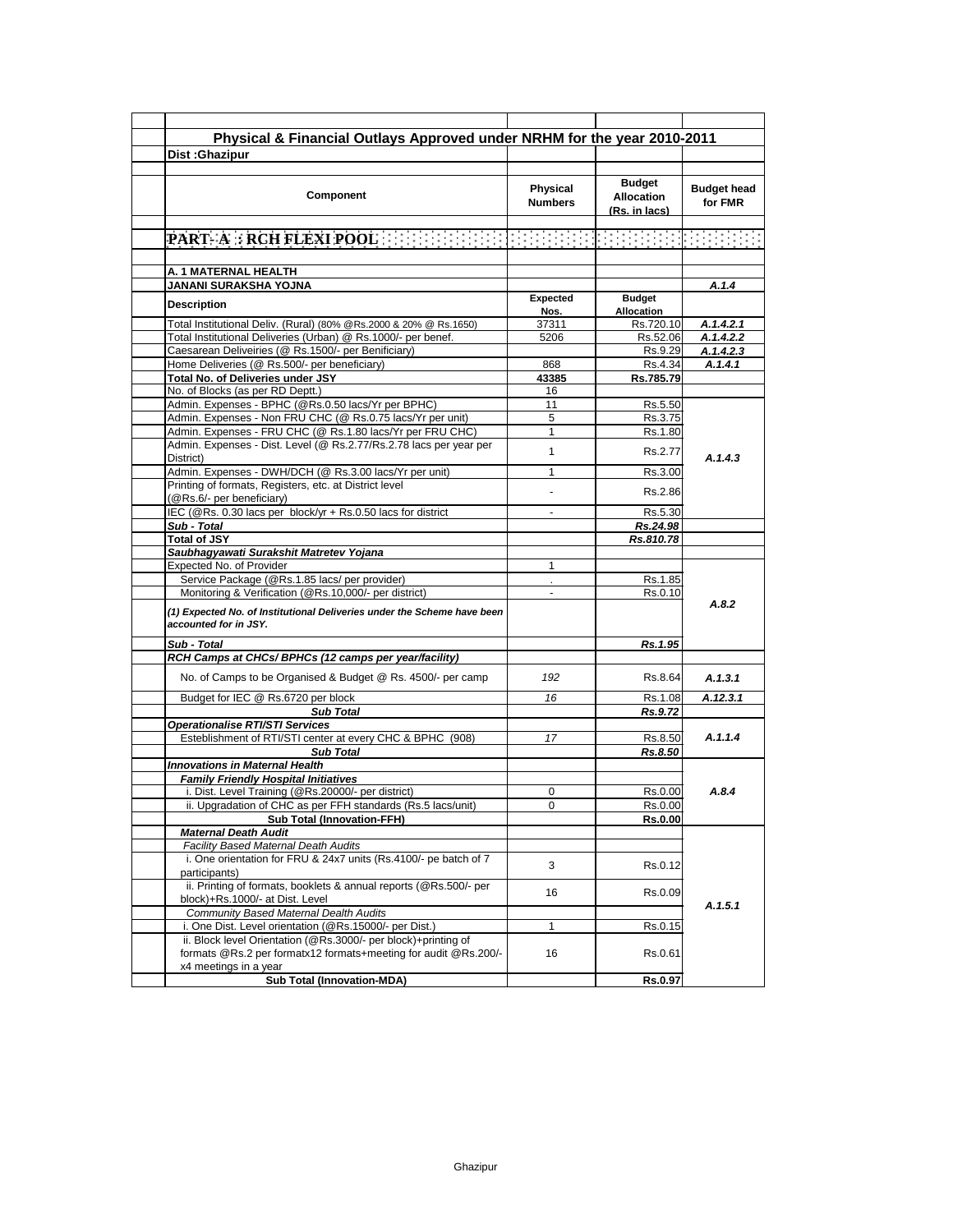| Dist: Ghazipur                                                                                                                                             |                            | Physical & Financial Outlays Approved under NRHM for the year 2010-2011 |                               |
|------------------------------------------------------------------------------------------------------------------------------------------------------------|----------------------------|-------------------------------------------------------------------------|-------------------------------|
|                                                                                                                                                            |                            |                                                                         |                               |
| Component                                                                                                                                                  | Physical<br><b>Numbers</b> | <b>Budget</b><br><b>Allocation</b><br>(Rs. in lacs)                     | <b>Budget head</b><br>for FMR |
| <b>PART-ARRCH FLEXI POOL</b> FEED FEED FEED FEED FEED FEED                                                                                                 |                            |                                                                         |                               |
|                                                                                                                                                            |                            |                                                                         |                               |
| A. 1 MATERNAL HEALTH                                                                                                                                       |                            |                                                                         |                               |
| JANANI SURAKSHA YOJNA                                                                                                                                      |                            |                                                                         | A.1.4                         |
|                                                                                                                                                            | Expected                   | <b>Budget</b>                                                           |                               |
| <b>Description</b>                                                                                                                                         | Nos.                       | Allocation                                                              |                               |
| Total Institutional Deliv. (Rural) (80% @Rs.2000 & 20% @ Rs.1650)                                                                                          | 37311                      | Rs.720.10                                                               | A.1.4.2.1                     |
| Total Institutional Deliveries (Urban) @ Rs.1000/- per benef.                                                                                              | 5206                       | Rs.52.06                                                                | A.1.4.2.2                     |
| Caesarean Deliveiries (@ Rs.1500/- per Benificiary)                                                                                                        |                            | Rs.9.29                                                                 | A.1.4.2.3                     |
| Home Deliveries (@ Rs.500/- per beneficiary)                                                                                                               | 868                        | Rs.4.34                                                                 | A.1.4.1                       |
| Total No. of Deliveries under JSY                                                                                                                          | 43385                      | Rs.785.79                                                               |                               |
| No. of Blocks (as per RD Deptt.)                                                                                                                           | 16                         |                                                                         |                               |
| Admin. Expenses - BPHC (@Rs.0.50 lacs/Yr per BPHC)                                                                                                         | 11                         | Rs.5.50                                                                 |                               |
| Admin. Expenses - Non FRU CHC (@ Rs.0.75 lacs/Yr per unit)                                                                                                 | 5                          | Rs.3.75                                                                 |                               |
| Admin. Expenses - FRU CHC (@ Rs.1.80 lacs/Yr per FRU CHC)                                                                                                  | 1                          | Rs.1.80                                                                 |                               |
| Admin. Expenses - Dist. Level (@ Rs.2.77/Rs.2.78 lacs per year per<br>District)                                                                            | $\mathbf{1}$               | Rs.2.77                                                                 | A.1.4.3                       |
| Admin. Expenses - DWH/DCH (@ Rs.3.00 lacs/Yr per unit)                                                                                                     | 1                          | Rs.3.00                                                                 |                               |
| Printing of formats, Registers, etc. at District level                                                                                                     |                            | Rs.2.86                                                                 |                               |
| (@Rs.6/- per beneficiary)<br>IEC (@Rs. 0.30 lacs per block/yr + Rs.0.50 lacs for district                                                                  |                            | Rs.5.30                                                                 |                               |
| Sub - Total                                                                                                                                                |                            | Rs.24.98                                                                |                               |
| <b>Total of JSY</b>                                                                                                                                        |                            | Rs.810.78                                                               |                               |
| Saubhagyawati Surakshit Matretev Yojana                                                                                                                    |                            |                                                                         |                               |
| Expected No. of Provider                                                                                                                                   | $\mathbf{1}$               |                                                                         |                               |
|                                                                                                                                                            |                            |                                                                         |                               |
| Service Package (@Rs.1.85 lacs/ per provider)<br>Monitoring & Verification (@Rs.10,000/- per district)                                                     | $\blacksquare$             | Rs.1.85<br>Rs.0.10                                                      |                               |
| (1) Expected No. of Institutional Deliveries under the Scheme have been<br>accounted for in JSY.                                                           |                            |                                                                         | A.8.2                         |
| Sub - Total                                                                                                                                                |                            | Rs.1.95                                                                 |                               |
| RCH Camps at CHCs/ BPHCs (12 camps per year/facility)                                                                                                      |                            |                                                                         |                               |
| No. of Camps to be Organised & Budget @ Rs. 4500/- per camp                                                                                                | 192                        | Rs.8.64                                                                 | A.1.3.1                       |
| Budget for IEC @ Rs.6720 per block                                                                                                                         | 16                         | Rs.1.08                                                                 | A.12.3.1                      |
| <b>Sub Total</b>                                                                                                                                           |                            | Rs.9.72                                                                 |                               |
| <b>Operationalise RTI/STI Services</b>                                                                                                                     |                            |                                                                         |                               |
| Esteblishment of RTI/STI center at every CHC & BPHC (908)                                                                                                  | 17                         | Rs.8.50                                                                 | A.1.1.4                       |
| <b>Sub Total</b>                                                                                                                                           |                            | Rs.8.50                                                                 |                               |
| <b>Innovations in Maternal Health</b>                                                                                                                      |                            |                                                                         |                               |
| <b>Family Friendly Hospital Initiatives</b>                                                                                                                |                            |                                                                         |                               |
| i. Dist. Level Training (@Rs.20000/- per district)                                                                                                         | 0                          | Rs.0.00                                                                 | A.8.4                         |
| ii. Upgradation of CHC as per FFH standards (Rs.5 lacs/unit)                                                                                               | 0                          | Rs.0.00                                                                 |                               |
| <b>Sub Total (Innovation-FFH)</b>                                                                                                                          |                            | <b>Rs.0.00</b>                                                          |                               |
| <b>Maternal Death Audit</b>                                                                                                                                |                            |                                                                         |                               |
| Facility Based Maternal Death Audits                                                                                                                       |                            |                                                                         |                               |
| i. One orientation for FRU & 24x7 units (Rs.4100/- pe batch of 7                                                                                           | 3                          | Rs.0.12                                                                 |                               |
|                                                                                                                                                            |                            | Rs.0.09                                                                 |                               |
| participants)<br>ii. Printing of formats, booklets & annual reports (@Rs.500/- per                                                                         | 16                         |                                                                         |                               |
| block)+Rs.1000/- at Dist. Level                                                                                                                            |                            |                                                                         | A.1.5.1                       |
| <b>Community Based Maternal Dealth Audits</b>                                                                                                              |                            |                                                                         |                               |
| i. One Dist. Level orientation (@Rs.15000/- per Dist.)                                                                                                     | 1                          | Rs.0.15                                                                 |                               |
| ii. Block level Orientation (@Rs.3000/- per block)+printing of<br>formats @Rs.2 per formatx12 formats+meeting for audit @Rs.200/-<br>x4 meetings in a year | 16                         | Rs.0.61                                                                 |                               |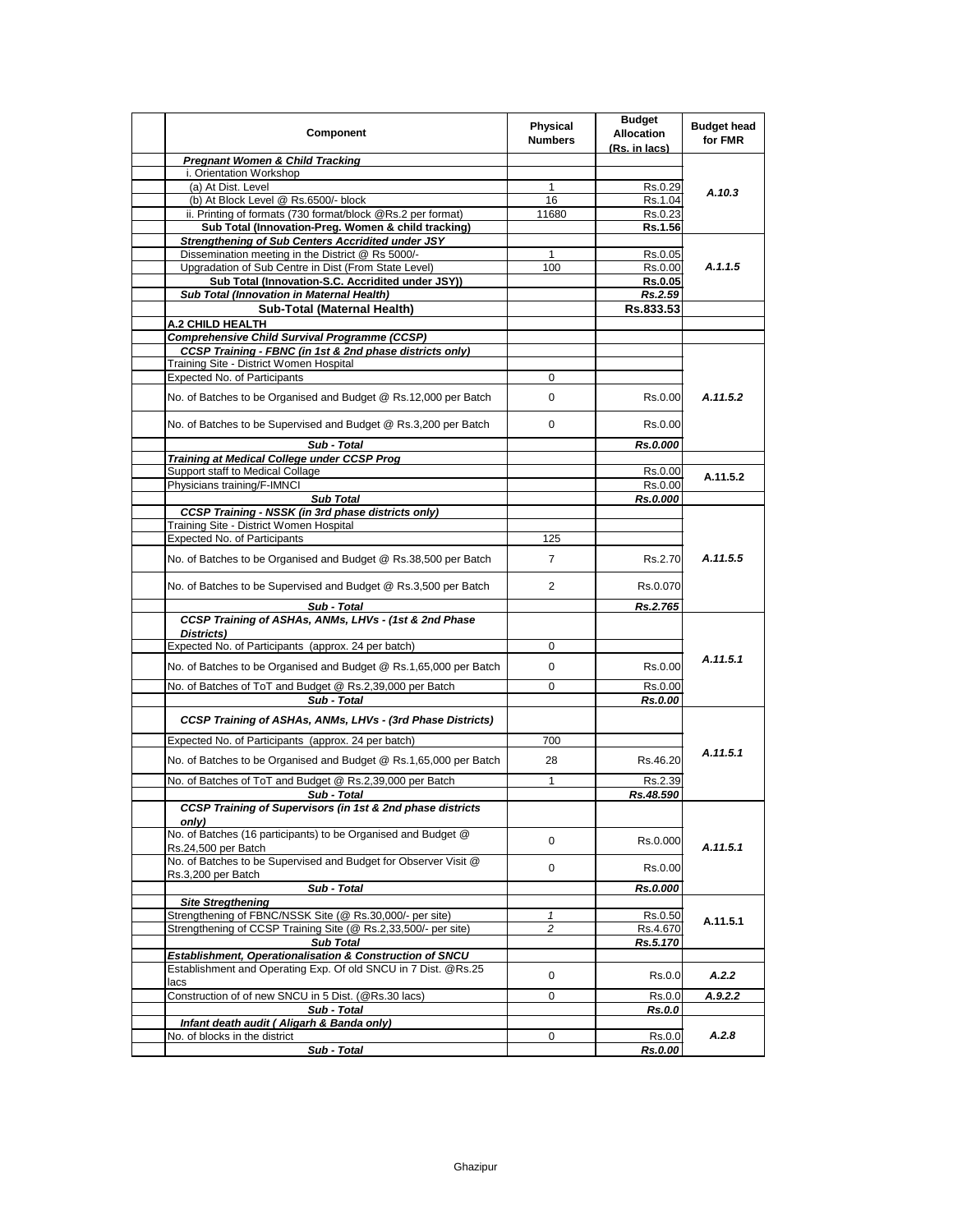| Component                                                                                                                  | Physical<br><b>Numbers</b>     | <b>Budget</b><br><b>Allocation</b><br>(Rs. in lacs) | <b>Budget head</b><br>for FMR |
|----------------------------------------------------------------------------------------------------------------------------|--------------------------------|-----------------------------------------------------|-------------------------------|
| <b>Pregnant Women &amp; Child Tracking</b>                                                                                 |                                |                                                     |                               |
| i. Orientation Workshop                                                                                                    |                                |                                                     |                               |
| (a) At Dist. Level                                                                                                         | $\mathbf{1}$                   | Rs.0.29                                             | A.10.3                        |
| (b) At Block Level @ Rs.6500/- block                                                                                       | 16                             | Rs.1.04                                             |                               |
| ii. Printing of formats (730 format/block @Rs.2 per format)                                                                | 11680                          | Rs.0.23                                             |                               |
| Sub Total (Innovation-Preg. Women & child tracking)                                                                        |                                | Rs.1.56                                             |                               |
| <b>Strengthening of Sub Centers Accridited under JSY</b>                                                                   |                                |                                                     | A.1.1.5                       |
| Dissemination meeting in the District @ Rs 5000/-                                                                          | $\mathbf{1}$                   | Rs.0.05                                             |                               |
| Upgradation of Sub Centre in Dist (From State Level)<br>Sub Total (Innovation-S.C. Accridited under JSY))                  | 100                            | Rs.0.00                                             |                               |
| Sub Total (Innovation in Maternal Health)                                                                                  |                                | <b>Rs.0.05</b><br>Rs.2.59                           |                               |
| Sub-Total (Maternal Health)                                                                                                |                                | Rs.833.53                                           |                               |
| A.2 CHILD HEALTH                                                                                                           |                                |                                                     |                               |
| <b>Comprehensive Child Survival Programme (CCSP)</b>                                                                       |                                |                                                     |                               |
| CCSP Training - FBNC (in 1st & 2nd phase districts only)                                                                   |                                |                                                     |                               |
| Training Site - District Women Hospital                                                                                    |                                |                                                     |                               |
| <b>Expected No. of Participants</b>                                                                                        | 0                              |                                                     |                               |
|                                                                                                                            |                                |                                                     |                               |
| No. of Batches to be Organised and Budget @ Rs.12,000 per Batch                                                            | 0                              | Rs.0.00                                             | A.11.5.2                      |
| No. of Batches to be Supervised and Budget @ Rs.3,200 per Batch                                                            | 0                              | Rs.0.00                                             |                               |
| Sub - Total                                                                                                                |                                | Rs.0.000                                            |                               |
| <b>Training at Medical College under CCSP Prog</b>                                                                         |                                |                                                     |                               |
| Support staff to Medical Collage<br>Physicians training/F-IMNCI                                                            |                                | Rs.0.00<br>Rs.0.00                                  | A.11.5.2                      |
| <b>Sub Total</b>                                                                                                           |                                |                                                     |                               |
| <b>CCSP Training - NSSK (in 3rd phase districts only)</b>                                                                  |                                | Rs.0.000                                            |                               |
| Training Site - District Women Hospital                                                                                    |                                |                                                     |                               |
| <b>Expected No. of Participants</b>                                                                                        | 125                            |                                                     | A.11.5.5                      |
| No. of Batches to be Organised and Budget @ Rs.38,500 per Batch                                                            | $\overline{7}$                 | Rs.2.70                                             |                               |
| No. of Batches to be Supervised and Budget @ Rs.3,500 per Batch                                                            | 2                              | Rs.0.070                                            |                               |
|                                                                                                                            |                                |                                                     |                               |
| Sub - Total<br>CCSP Training of ASHAs, ANMs, LHVs - (1st & 2nd Phase                                                       |                                | Rs.2.765                                            |                               |
|                                                                                                                            |                                |                                                     |                               |
| Districts)<br>Expected No. of Participants (approx. 24 per batch)                                                          | 0                              |                                                     |                               |
|                                                                                                                            |                                |                                                     | A.11.5.1                      |
| No. of Batches to be Organised and Budget @ Rs.1,65,000 per Batch                                                          | 0                              | Rs.0.00                                             |                               |
| No. of Batches of ToT and Budget @ Rs.2,39,000 per Batch                                                                   | 0                              | Rs.0.00                                             |                               |
| Sub - Total                                                                                                                |                                | Rs.0.00                                             |                               |
| CCSP Training of ASHAs, ANMs, LHVs - (3rd Phase Districts)                                                                 |                                |                                                     |                               |
| Expected No. of Participants (approx. 24 per batch)                                                                        | 700                            |                                                     |                               |
| No. of Batches to be Organised and Budget @ Rs.1,65,000 per Batch                                                          | 28                             | Rs.46.20                                            | A.11.5.1                      |
| No. of Batches of ToT and Budget @ Rs.2,39,000 per Batch                                                                   | $\mathbf{1}$                   | Rs.2.39                                             |                               |
| Sub - Total                                                                                                                |                                | Rs.48.590                                           |                               |
| <b>CCSP Training of Supervisors (in 1st &amp; 2nd phase districts</b>                                                      |                                |                                                     |                               |
| only)<br>No. of Batches (16 participants) to be Organised and Budget @                                                     | 0                              | Rs.0.000                                            | A.11.5.1                      |
| Rs.24,500 per Batch<br>No. of Batches to be Supervised and Budget for Observer Visit @                                     | 0                              | Rs.0.00                                             |                               |
| Rs.3,200 per Batch                                                                                                         |                                |                                                     |                               |
| Sub - Total                                                                                                                |                                | Rs.0.000                                            |                               |
| <b>Site Stregthening</b>                                                                                                   |                                |                                                     |                               |
| Strengthening of FBNC/NSSK Site (@ Rs.30,000/- per site)<br>Strengthening of CCSP Training Site (@ Rs.2,33,500/- per site) | $\mathbf{1}$<br>$\overline{c}$ | Rs.0.50<br>Rs.4.670                                 | A.11.5.1                      |
| <b>Sub Total</b>                                                                                                           |                                | Rs.5.170                                            |                               |
| Establishment, Operationalisation & Construction of SNCU                                                                   |                                |                                                     |                               |
| Establishment and Operating Exp. Of old SNCU in 7 Dist. @Rs.25                                                             |                                |                                                     |                               |
| lacs                                                                                                                       | 0                              | Rs.0.0                                              | A.2.2                         |
| Construction of of new SNCU in 5 Dist. (@Rs.30 lacs)                                                                       | 0                              | Rs.0.0                                              | A.9.2.2                       |
| Sub - Total                                                                                                                |                                | <b>Rs.0.0</b>                                       |                               |
| Infant death audit (Aligarh & Banda only)                                                                                  |                                |                                                     |                               |
| No. of blocks in the district                                                                                              | 0                              | Rs.0.0                                              | A.2.8                         |
| Sub - Total                                                                                                                |                                | Rs.0.00                                             |                               |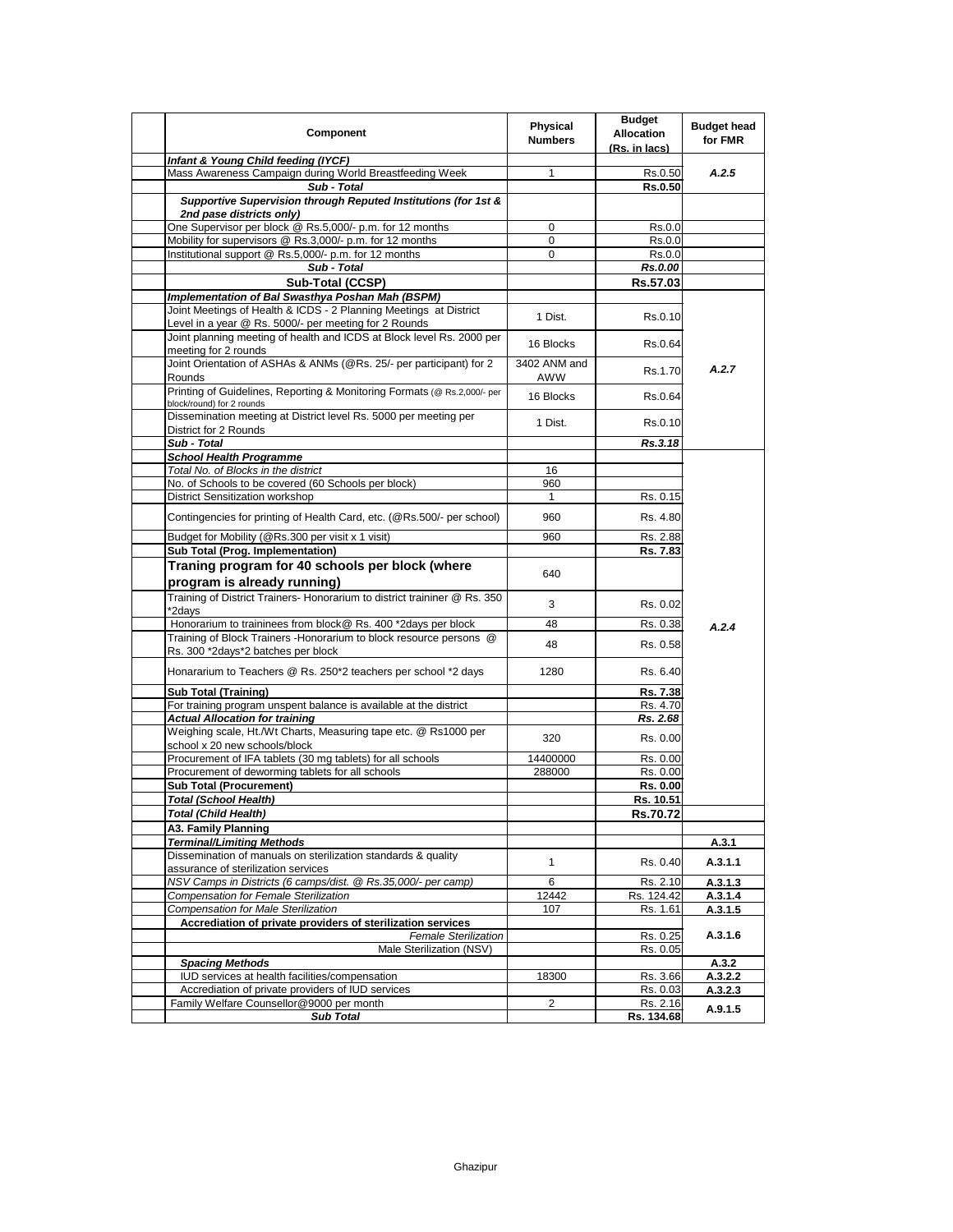| Component                                                                                                                  | Physical<br><b>Numbers</b> | <b>Budget</b><br><b>Allocation</b><br>(Rs. in lacs) | <b>Budget head</b><br>for FMR |
|----------------------------------------------------------------------------------------------------------------------------|----------------------------|-----------------------------------------------------|-------------------------------|
| Infant & Young Child feeding (IYCF)                                                                                        |                            |                                                     |                               |
| Mass Awareness Campaign during World Breastfeeding Week                                                                    | 1                          | Rs.0.50                                             | A.2.5                         |
| Sub - Total                                                                                                                |                            | <b>Rs.0.50</b>                                      |                               |
| Supportive Supervision through Reputed Institutions (for 1st &<br>2nd pase districts only)                                 |                            |                                                     |                               |
| One Supervisor per block @ Rs.5,000/- p.m. for 12 months                                                                   | 0                          | Rs.0.0                                              |                               |
| Mobility for supervisors @ Rs.3,000/- p.m. for 12 months                                                                   | 0                          | Rs.0.0                                              |                               |
| Institutional support @ Rs.5,000/- p.m. for 12 months                                                                      | $\mathbf 0$                | Rs.0.0                                              |                               |
| Sub - Total                                                                                                                |                            | Rs.0.00                                             |                               |
| Sub-Total (CCSP)                                                                                                           |                            | Rs.57.03                                            |                               |
| Implementation of Bal Swasthya Poshan Mah (BSPM)                                                                           |                            |                                                     |                               |
| Joint Meetings of Health & ICDS - 2 Planning Meetings at District<br>Level in a year @ Rs. 5000/- per meeting for 2 Rounds | 1 Dist.                    | Rs.0.10                                             |                               |
| Joint planning meeting of health and ICDS at Block level Rs. 2000 per<br>meeting for 2 rounds                              | 16 Blocks                  | Rs.0.64                                             |                               |
| Joint Orientation of ASHAs & ANMs (@Rs. 25/- per participant) for 2<br>Rounds                                              | 3402 ANM and<br>AWW        | Rs.1.70                                             | A.2.7                         |
| Printing of Guidelines, Reporting & Monitoring Formats (@ Rs.2,000/- per<br>block/round) for 2 rounds                      | 16 Blocks                  | Rs.0.64                                             |                               |
| Dissemination meeting at District level Rs. 5000 per meeting per<br>District for 2 Rounds                                  | 1 Dist.                    | Rs.0.10                                             |                               |
| Sub - Total                                                                                                                |                            | Rs.3.18                                             |                               |
| <b>School Health Programme</b>                                                                                             |                            |                                                     |                               |
| Total No. of Blocks in the district                                                                                        | 16                         |                                                     |                               |
| No. of Schools to be covered (60 Schools per block)                                                                        | 960                        |                                                     |                               |
| <b>District Sensitization workshop</b>                                                                                     | $\mathbf{1}$               | Rs. 0.15                                            |                               |
| Contingencies for printing of Health Card, etc. (@Rs.500/- per school)                                                     | 960                        | Rs. 4.80                                            |                               |
| Budget for Mobility (@Rs.300 per visit x 1 visit)                                                                          | 960                        | Rs. 2.88                                            |                               |
| Sub Total (Prog. Implementation)                                                                                           |                            | Rs. 7.83                                            |                               |
| Traning program for 40 schools per block (where<br>program is already running)                                             | 640                        |                                                     |                               |
| Training of District Trainers- Honorarium to district traininer @ Rs. 350<br>*2days                                        | 3                          | Rs. 0.02                                            |                               |
| Honorarium to traininees from block@ Rs. 400 *2days per block                                                              | 48                         | Rs. 0.38                                            | A.2.4                         |
| Training of Block Trainers - Honorarium to block resource persons @<br>Rs. 300 *2days*2 batches per block                  | 48                         | Rs. 0.58                                            |                               |
| Honararium to Teachers @ Rs. 250*2 teachers per school *2 days                                                             | 1280                       | Rs. 6.40                                            |                               |
| <b>Sub Total (Training)</b>                                                                                                |                            | Rs. 7.38                                            |                               |
| For training program unspent balance is available at the district                                                          |                            | Rs. 4.70                                            |                               |
| <b>Actual Allocation for training</b>                                                                                      |                            | Rs. 2.68                                            |                               |
| Weighing scale, Ht./Wt Charts, Measuring tape etc. @ Rs1000 per<br>school x 20 new schools/block                           | 320                        | Rs. 0.00                                            |                               |
| Procurement of IFA tablets (30 mg tablets) for all schools                                                                 | 14400000                   | Rs. 0.00                                            |                               |
| Procurement of deworming tablets for all schools                                                                           | 288000                     | Rs. 0.00                                            |                               |
| <b>Sub Total (Procurement)</b>                                                                                             |                            | Rs. 0.00                                            |                               |
| <b>Total (School Health)</b>                                                                                               |                            | Rs. 10.51                                           |                               |
| Total (Child Health)                                                                                                       |                            | <b>Rs.70.72</b>                                     |                               |
| A3. Family Planning                                                                                                        |                            |                                                     |                               |
| <b>Terminal/Limiting Methods</b>                                                                                           |                            |                                                     | A.3.1                         |
| Dissemination of manuals on sterilization standards & quality<br>assurance of sterilization services                       | $\mathbf{1}$               | Rs. 0.40                                            | A.3.1.1                       |
| NSV Camps in Districts (6 camps/dist. @ Rs.35,000/- per camp)                                                              | 6                          | Rs. 2.10                                            | A.3.1.3                       |
| Compensation for Female Sterilization                                                                                      | 12442                      | Rs. 124.42                                          | A.3.1.4                       |
| <b>Compensation for Male Sterilization</b>                                                                                 | 107                        | Rs. 1.61                                            | A.3.1.5                       |
| Accrediation of private providers of sterilization services                                                                |                            |                                                     |                               |
| <b>Female Sterilization</b><br>Male Sterilization (NSV)                                                                    |                            | Rs. 0.25<br>Rs. 0.05                                | A.3.1.6                       |
| <b>Spacing Methods</b>                                                                                                     |                            |                                                     | A.3.2                         |
| IUD services at health facilities/compensation                                                                             | 18300                      | Rs. 3.66                                            | A.3.2.2                       |
| Accrediation of private providers of IUD services                                                                          |                            | Rs. 0.03                                            | A.3.2.3                       |
| Family Welfare Counsellor@9000 per month                                                                                   | $\overline{2}$             | Rs. 2.16                                            |                               |
| <b>Sub Total</b>                                                                                                           |                            | Rs. 134.68                                          | A.9.1.5                       |
|                                                                                                                            |                            |                                                     |                               |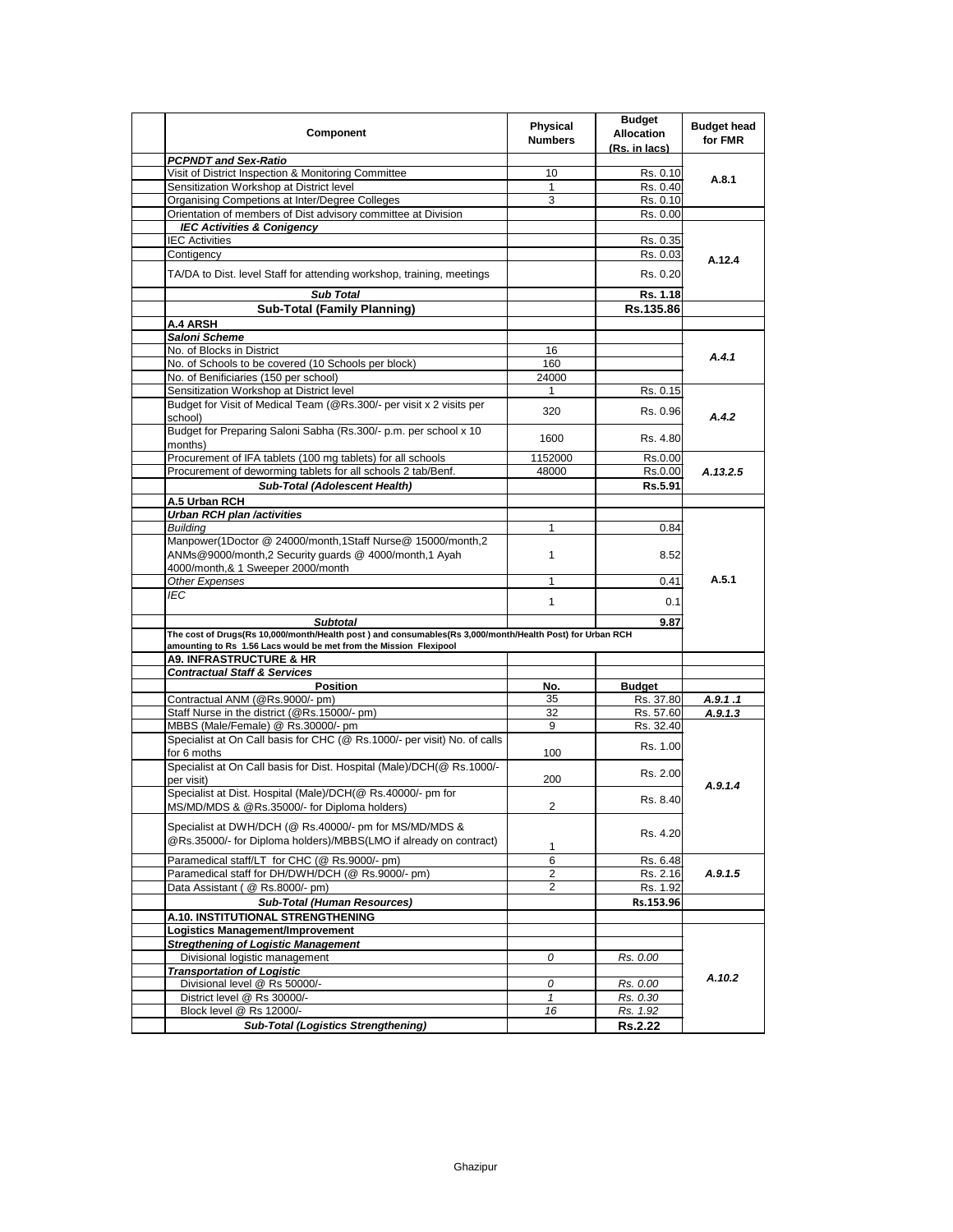| Component                                                                                                                                                                     | <b>Physical</b><br><b>Numbers</b> | <b>Budget</b><br><b>Allocation</b><br>(Rs. in lacs) | <b>Budget head</b><br>for FMR |
|-------------------------------------------------------------------------------------------------------------------------------------------------------------------------------|-----------------------------------|-----------------------------------------------------|-------------------------------|
| <b>PCPNDT and Sex-Ratio</b>                                                                                                                                                   |                                   |                                                     |                               |
| Visit of District Inspection & Monitoring Committee                                                                                                                           | 10                                | Rs. 0.10                                            | A.8.1                         |
| Sensitization Workshop at District level                                                                                                                                      | $\mathbf{1}$                      | Rs. 0.40                                            |                               |
| Organising Competions at Inter/Degree Colleges                                                                                                                                | 3                                 | Rs. 0.10                                            |                               |
| Orientation of members of Dist advisory committee at Division                                                                                                                 |                                   | Rs. 0.00                                            |                               |
| <b>IEC Activities &amp; Conigency</b>                                                                                                                                         |                                   |                                                     |                               |
| <b>IEC Activities</b>                                                                                                                                                         |                                   | Rs. 0.35                                            |                               |
| Contigency                                                                                                                                                                    |                                   | Rs. 0.03                                            | A.12.4                        |
| TA/DA to Dist. level Staff for attending workshop, training, meetings                                                                                                         |                                   | Rs. 0.20                                            |                               |
| <b>Sub Total</b>                                                                                                                                                              |                                   | Rs. 1.18                                            |                               |
| <b>Sub-Total (Family Planning)</b>                                                                                                                                            |                                   | Rs.135.86                                           |                               |
| <b>A.4 ARSH</b>                                                                                                                                                               |                                   |                                                     |                               |
| Saloni Scheme                                                                                                                                                                 |                                   |                                                     |                               |
| No. of Blocks in District                                                                                                                                                     | 16                                |                                                     |                               |
| No. of Schools to be covered (10 Schools per block)                                                                                                                           | 160                               |                                                     | A.4.1                         |
| No. of Benificiaries (150 per school)                                                                                                                                         | 24000                             |                                                     |                               |
| Sensitization Workshop at District level                                                                                                                                      | 1                                 | Rs. 0.15                                            |                               |
| Budget for Visit of Medical Team (@Rs.300/- per visit x 2 visits per                                                                                                          |                                   |                                                     |                               |
| school)<br>Budget for Preparing Saloni Sabha (Rs.300/- p.m. per school x 10                                                                                                   | 320                               | Rs. 0.96                                            | A.4.2                         |
| months)                                                                                                                                                                       | 1600                              | Rs. 4.80                                            |                               |
| Procurement of IFA tablets (100 mg tablets) for all schools                                                                                                                   | 1152000                           | Rs.0.00                                             |                               |
| Procurement of deworming tablets for all schools 2 tab/Benf.                                                                                                                  | 48000                             | Rs.0.00                                             | A.13.2.5                      |
| <b>Sub-Total (Adolescent Health)</b>                                                                                                                                          |                                   | Rs.5.91                                             |                               |
| A.5 Urban RCH                                                                                                                                                                 |                                   |                                                     |                               |
| <b>Urban RCH plan /activities</b>                                                                                                                                             |                                   |                                                     |                               |
| <b>Building</b>                                                                                                                                                               | $\mathbf{1}$                      | 0.84                                                |                               |
| Manpower(1Doctor @ 24000/month,1Staff Nurse@ 15000/month,2<br>ANMs@9000/month,2 Security guards @ 4000/month,1 Ayah                                                           | $\mathbf{1}$                      | 8.52                                                |                               |
| 4000/month,& 1 Sweeper 2000/month                                                                                                                                             |                                   |                                                     |                               |
| Other Expenses                                                                                                                                                                | $\mathbf{1}$                      | 0.41                                                | A.5.1                         |
| IEC                                                                                                                                                                           | $\mathbf{1}$                      | 0.1                                                 |                               |
| <b>Subtotal</b>                                                                                                                                                               |                                   | 9.87                                                |                               |
| The cost of Drugs(Rs 10,000/month/Health post) and consumables(Rs 3,000/month/Health Post) for Urban RCH<br>amounting to Rs 1.56 Lacs would be met from the Mission Flexipool |                                   |                                                     |                               |
| <b>A9. INFRASTRUCTURE &amp; HR</b>                                                                                                                                            |                                   |                                                     |                               |
| <b>Contractual Staff &amp; Services</b>                                                                                                                                       |                                   |                                                     |                               |
| <b>Position</b>                                                                                                                                                               | No.                               | <b>Budget</b>                                       |                               |
| Contractual ANM (@Rs.9000/- pm)                                                                                                                                               | 35                                | Rs. 37.80                                           | A.9.1.1                       |
| Staff Nurse in the district (@Rs.15000/- pm)                                                                                                                                  | 32                                | Rs. 57.60                                           | A.9.1.3                       |
| MBBS (Male/Female) @ Rs.30000/- pm                                                                                                                                            | 9                                 | Rs. 32.40                                           |                               |
| Specialist at On Call basis for CHC (@ Rs.1000/- per visit) No. of calls<br>for 6 moths                                                                                       | 100                               | Rs. 1.00                                            |                               |
| Specialist at On Call basis for Dist. Hospital (Male)/DCH(@ Rs.1000/-<br>per visit)                                                                                           | 200                               | Rs. 2.00                                            |                               |
| Specialist at Dist. Hospital (Male)/DCH(@ Rs.40000/- pm for<br>MS/MD/MDS & @Rs.35000/- for Diploma holders)                                                                   | $\mathcal{P}$                     | Rs. 8.40                                            | A.9.1.4                       |
| Specialist at DWH/DCH (@ Rs.40000/- pm for MS/MD/MDS &<br>@Rs.35000/- for Diploma holders)/MBBS(LMO if already on contract)                                                   | 1                                 | Rs. 4.20                                            |                               |
| Paramedical staff/LT for CHC (@ Rs.9000/- pm)                                                                                                                                 | 6                                 | Rs. 6.48                                            |                               |
| Paramedical staff for DH/DWH/DCH (@ Rs.9000/- pm)                                                                                                                             | $\overline{2}$                    | Rs. 2.16                                            | A.9.1.5                       |
| Data Assistant ( @ Rs.8000/- pm)                                                                                                                                              | $\overline{c}$                    | Rs. 1.92                                            |                               |
| <b>Sub-Total (Human Resources)</b>                                                                                                                                            |                                   | Rs.153.96                                           |                               |
| A.10. INSTITUTIONAL STRENGTHENING                                                                                                                                             |                                   |                                                     |                               |
| Logistics Management/Improvement                                                                                                                                              |                                   |                                                     |                               |
| <b>Stregthening of Logistic Management</b>                                                                                                                                    |                                   |                                                     |                               |
| Divisional logistic management                                                                                                                                                |                                   |                                                     |                               |
|                                                                                                                                                                               | 0                                 | Rs. 0.00                                            |                               |
| <b>Transportation of Logistic</b>                                                                                                                                             |                                   |                                                     | A.10.2                        |
| Divisional level @ Rs 50000/-                                                                                                                                                 | 0                                 | Rs. 0.00                                            |                               |
| District level @ Rs 30000/-                                                                                                                                                   | $\mathbf{1}$                      | Rs. 0.30                                            |                               |
| Block level @ Rs 12000/-                                                                                                                                                      | 16                                | Rs. 1.92                                            |                               |
| <b>Sub-Total (Logistics Strengthening)</b>                                                                                                                                    |                                   | <b>Rs.2.22</b>                                      |                               |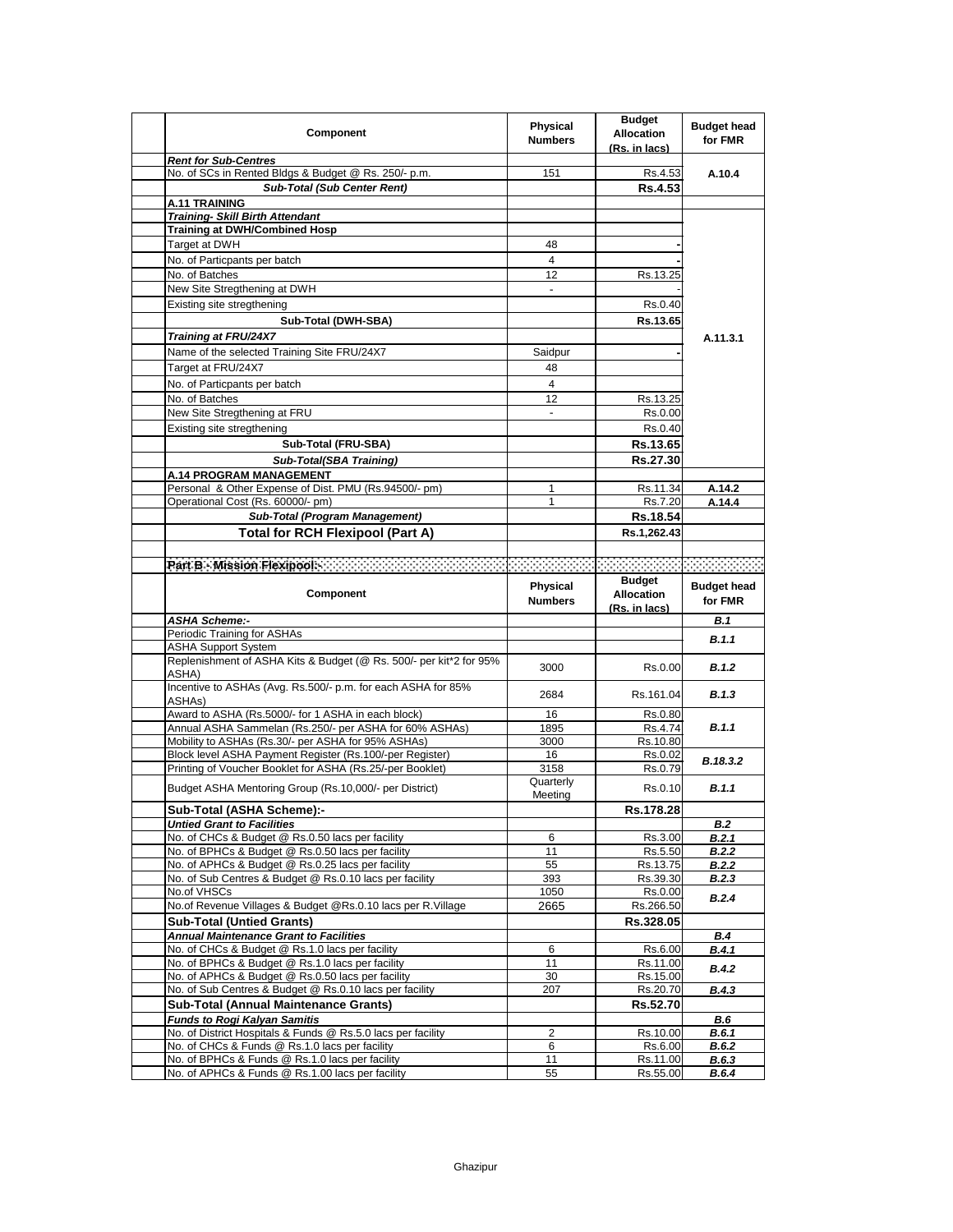| <b>Component</b>                                                                                    | Physical<br><b>Numbers</b>   | <b>Budget</b><br><b>Allocation</b><br>(Rs. in lacs) | <b>Budget head</b><br>for FMR |
|-----------------------------------------------------------------------------------------------------|------------------------------|-----------------------------------------------------|-------------------------------|
| <b>Rent for Sub-Centres</b>                                                                         |                              |                                                     |                               |
| No. of SCs in Rented Bldgs & Budget @ Rs. 250/- p.m.                                                | 151                          | Rs.4.53                                             | A.10.4                        |
| <b>Sub-Total (Sub Center Rent)</b>                                                                  |                              | Rs.4.53                                             |                               |
| <b>A.11 TRAINING</b>                                                                                |                              |                                                     |                               |
| <b>Training- Skill Birth Attendant</b>                                                              |                              |                                                     |                               |
| <b>Training at DWH/Combined Hosp</b>                                                                |                              |                                                     |                               |
| Target at DWH                                                                                       | 48                           |                                                     |                               |
| No. of Particpants per batch                                                                        | 4                            |                                                     |                               |
| No. of Batches                                                                                      | 12                           | Rs.13.25                                            |                               |
| New Site Stregthening at DWH                                                                        | $\qquad \qquad \blacksquare$ |                                                     |                               |
| Existing site stregthening                                                                          |                              | Rs.0.40                                             |                               |
| Sub-Total (DWH-SBA)                                                                                 |                              | Rs.13.65                                            |                               |
| Training at FRU/24X7                                                                                |                              |                                                     | A.11.3.1                      |
| Name of the selected Training Site FRU/24X7                                                         | Saidpur                      |                                                     |                               |
| Target at FRU/24X7                                                                                  | 48                           |                                                     |                               |
|                                                                                                     |                              |                                                     |                               |
| No. of Particpants per batch                                                                        | 4                            |                                                     |                               |
| No. of Batches                                                                                      | 12                           | Rs.13.25                                            |                               |
| New Site Stregthening at FRU                                                                        | $\overline{\phantom{0}}$     | Rs.0.00                                             |                               |
| Existing site stregthening                                                                          |                              | Rs.0.40                                             |                               |
| Sub-Total (FRU-SBA)                                                                                 |                              | Rs.13.65                                            |                               |
| <b>Sub-Total(SBA Training)</b>                                                                      |                              | Rs.27.30                                            |                               |
| A.14 PROGRAM MANAGEMENT                                                                             |                              |                                                     |                               |
| Personal & Other Expense of Dist. PMU (Rs.94500/- pm)                                               | 1                            | Rs.11.34                                            | A.14.2                        |
| Operational Cost (Rs. 60000/- pm)                                                                   | 1                            | Rs.7.20                                             | A.14.4                        |
| Sub-Total (Program Management)                                                                      |                              | Rs.18.54                                            |                               |
| <b>Total for RCH Flexipool (Part A)</b>                                                             |                              | Rs.1,262.43                                         |                               |
|                                                                                                     |                              |                                                     |                               |
| Par B - Mission Flexipools - A Contract Contract Contract Contract Contract Contract Contract Contr |                              |                                                     |                               |
|                                                                                                     |                              |                                                     |                               |
| <b>Component</b>                                                                                    | Physical<br><b>Numbers</b>   | <b>Budget</b><br><b>Allocation</b>                  | <b>Budget head</b><br>for FMR |
|                                                                                                     |                              | (Rs. in lacs)                                       |                               |
| <b>ASHA Scheme:-</b>                                                                                |                              |                                                     | <b>B.1</b>                    |
| Periodic Training for ASHAs                                                                         |                              |                                                     |                               |
| <b>ASHA Support System</b>                                                                          |                              |                                                     | B.1.1                         |
| Replenishment of ASHA Kits & Budget (@ Rs. 500/- per kit*2 for 95%<br>ASHA)                         | 3000                         | Rs.0.00                                             | B.1.2                         |
| Incentive to ASHAs (Avg. Rs.500/- p.m. for each ASHA for 85%<br>ASHA <sub>s</sub> )                 | 2684                         | Rs.161.04                                           | <b>B.1.3</b>                  |
| Award to ASHA (Rs.5000/- for 1 ASHA in each block)                                                  | 16                           | Rs.0.80                                             |                               |
| Annual ASHA Sammelan (Rs.250/- per ASHA for 60% ASHAs)                                              | 1895                         | Rs.4.74                                             | <b>B.1.1</b>                  |
| Mobility to ASHAs (Rs.30/- per ASHA for 95% ASHAs)                                                  | 3000                         | Rs.10.80                                            |                               |
| Block level ASHA Payment Register (Rs.100/-per Register)                                            | 16                           | Rs.0.02                                             | B.18.3.2                      |
| Printing of Voucher Booklet for ASHA (Rs.25/-per Booklet)                                           | 3158                         | Rs.0.79                                             |                               |
| Budget ASHA Mentoring Group (Rs.10,000/- per District)                                              | Quarterly<br>Meeting         | Rs.0.10                                             | B.1.1                         |
| Sub-Total (ASHA Scheme):-                                                                           |                              | Rs.178.28                                           |                               |
| <b>Untied Grant to Facilities</b>                                                                   |                              |                                                     | <b>B.2</b>                    |
| No. of CHCs & Budget @ Rs.0.50 lacs per facility                                                    | 6                            | Rs.3.00                                             | B.2.1                         |
| No. of BPHCs & Budget @ Rs.0.50 lacs per facility                                                   | 11                           | Rs.5.50                                             | <b>B.2.2</b>                  |
| No. of APHCs & Budget @ Rs.0.25 lacs per facility                                                   | 55                           | Rs.13.75                                            | <b>B.2.2</b>                  |
| No. of Sub Centres & Budget @ Rs.0.10 lacs per facility                                             | 393                          | Rs.39.30                                            | <b>B.2.3</b>                  |
| No.of VHSCs                                                                                         | 1050                         | Rs.0.00                                             | B.2.4                         |
| No.of Revenue Villages & Budget @Rs.0.10 lacs per R.Village                                         | 2665                         | Rs.266.50                                           |                               |
| <b>Sub-Total (Untied Grants)</b>                                                                    |                              | Rs.328.05                                           |                               |
| <b>Annual Maintenance Grant to Facilities</b>                                                       |                              |                                                     | <b>B.4</b>                    |
| No. of CHCs & Budget @ Rs.1.0 lacs per facility                                                     | 6                            | Rs.6.00                                             | B.4.1                         |
| No. of BPHCs & Budget @ Rs.1.0 lacs per facility                                                    | 11                           | Rs.11.00                                            | B.4.2                         |
| No. of APHCs & Budget @ Rs.0.50 lacs per facility                                                   | 30                           | Rs.15.00                                            |                               |
| No. of Sub Centres & Budget @ Rs.0.10 lacs per facility                                             | 207                          | Rs.20.70                                            | <b>B.4.3</b>                  |
| Sub-Total (Annual Maintenance Grants)                                                               |                              | Rs.52.70                                            |                               |
| <b>Funds to Rogi Kalyan Samitis</b>                                                                 |                              |                                                     | <b>B.6</b>                    |
| No. of District Hospitals & Funds @ Rs.5.0 lacs per facility                                        | 2                            | Rs.10.00                                            | B.6.1                         |
| No. of CHCs & Funds @ Rs.1.0 lacs per facility                                                      | 6                            | Rs.6.00                                             | <b>B.6.2</b>                  |
| No. of BPHCs & Funds @ Rs.1.0 lacs per facility<br>No. of APHCs & Funds @ Rs.1.00 lacs per facility | 11<br>55                     | Rs.11.00<br>Rs.55.00                                | B.6.3<br>B.6.4                |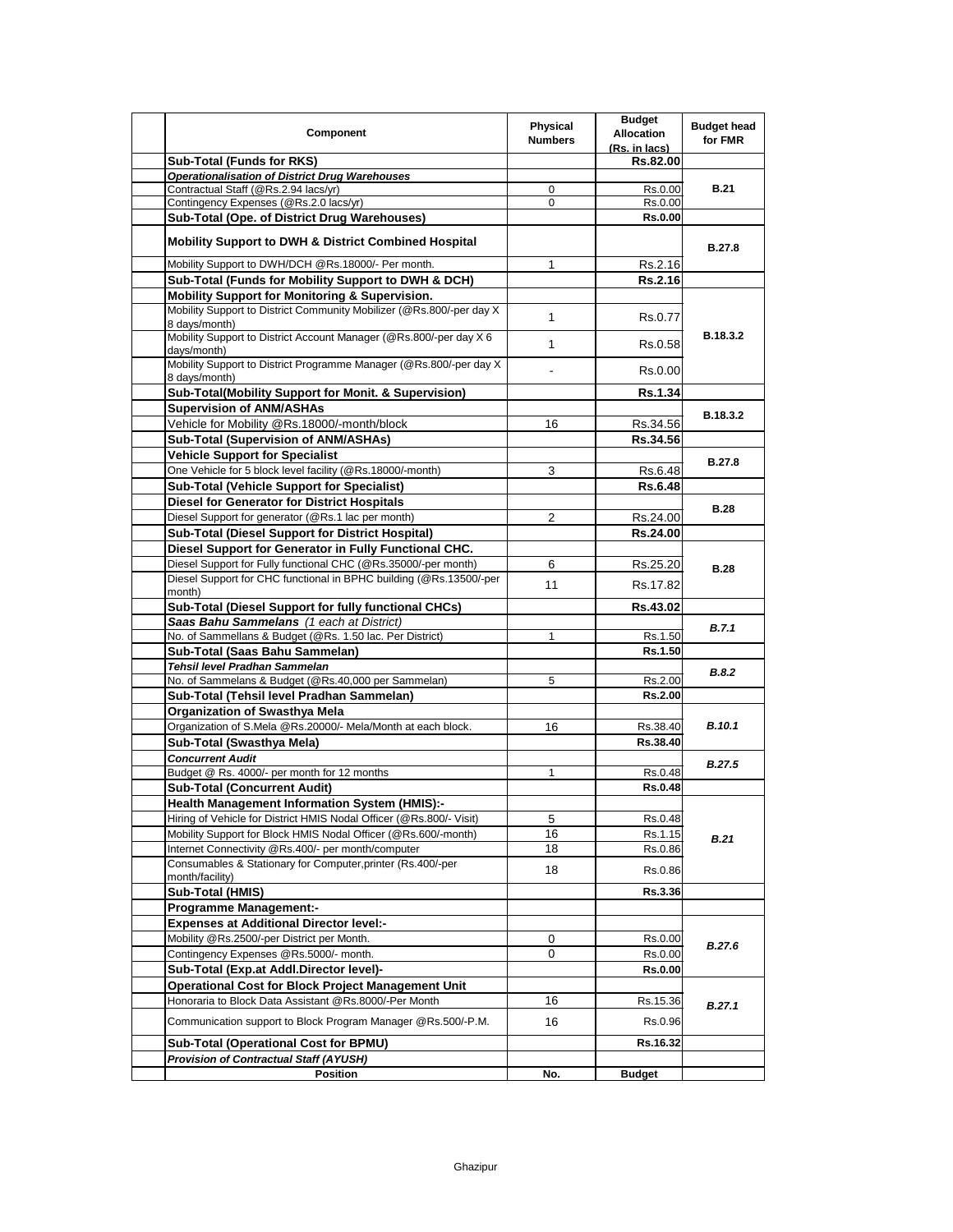| <b>Component</b>                                                                       | Physical<br><b>Numbers</b> | <b>Budget</b><br><b>Allocation</b><br>(Rs. in lacs) | <b>Budget head</b><br>for FMR |
|----------------------------------------------------------------------------------------|----------------------------|-----------------------------------------------------|-------------------------------|
| <b>Sub-Total (Funds for RKS)</b>                                                       |                            | Rs.82.00                                            |                               |
| <b>Operationalisation of District Drug Warehouses</b>                                  |                            |                                                     |                               |
| Contractual Staff (@Rs.2.94 lacs/yr)                                                   | 0                          | Rs.0.00                                             | <b>B.21</b>                   |
| Contingency Expenses (@Rs.2.0 lacs/yr)                                                 | 0                          | Rs.0.00                                             |                               |
| Sub-Total (Ope. of District Drug Warehouses)                                           |                            | <b>Rs.0.00</b>                                      |                               |
| <b>Mobility Support to DWH &amp; District Combined Hospital</b>                        |                            |                                                     | <b>B.27.8</b>                 |
| Mobility Support to DWH/DCH @Rs.18000/- Per month.                                     | 1                          | Rs.2.16                                             |                               |
| Sub-Total (Funds for Mobility Support to DWH & DCH)                                    |                            | Rs.2.16                                             |                               |
| <b>Mobility Support for Monitoring &amp; Supervision.</b>                              |                            |                                                     |                               |
| Mobility Support to District Community Mobilizer (@Rs.800/-per day X)<br>8 days/month) | $\mathbf{1}$               | Rs.0.77                                             |                               |
| Mobility Support to District Account Manager (@Rs.800/-per day X 6<br>days/month)      | $\mathbf{1}$               | Rs.0.58                                             | B.18.3.2                      |
| Mobility Support to District Programme Manager (@Rs.800/-per day X)<br>8 days/month)   |                            | Rs.0.00                                             |                               |
| Sub-Total(Mobility Support for Monit. & Supervision)                                   |                            | <b>Rs.1.34</b>                                      |                               |
| <b>Supervision of ANM/ASHAs</b>                                                        |                            |                                                     |                               |
| Vehicle for Mobility @Rs.18000/-month/block                                            | 16                         | Rs.34.56                                            | B.18.3.2                      |
| <b>Sub-Total (Supervision of ANM/ASHAs)</b>                                            |                            | Rs.34.56                                            |                               |
| <b>Vehicle Support for Specialist</b>                                                  |                            |                                                     |                               |
| One Vehicle for 5 block level facility (@Rs.18000/-month)                              | 3                          | Rs.6.48                                             | <b>B.27.8</b>                 |
| <b>Sub-Total (Vehicle Support for Specialist)</b>                                      |                            | Rs.6.48                                             |                               |
| <b>Diesel for Generator for District Hospitals</b>                                     |                            |                                                     |                               |
| Diesel Support for generator (@Rs.1 lac per month)                                     | 2                          | Rs.24.00                                            | <b>B.28</b>                   |
| Sub-Total (Diesel Support for District Hospital)                                       |                            | Rs.24.00                                            |                               |
| Diesel Support for Generator in Fully Functional CHC.                                  |                            |                                                     |                               |
| Diesel Support for Fully functional CHC (@Rs.35000/-per month)                         | 6                          | Rs.25.20                                            |                               |
| Diesel Support for CHC functional in BPHC building (@Rs.13500/-per                     |                            |                                                     | <b>B.28</b>                   |
| month)                                                                                 | 11                         | Rs.17.82                                            |                               |
| Sub-Total (Diesel Support for fully functional CHCs)                                   |                            | Rs.43.02                                            |                               |
| Saas Bahu Sammelans (1 each at District)                                               |                            |                                                     |                               |
| No. of Sammellans & Budget (@Rs. 1.50 lac. Per District)                               | 1                          | Rs.1.50                                             | B.7.1                         |
| Sub-Total (Saas Bahu Sammelan)                                                         |                            | Rs.1.50                                             |                               |
| Tehsil level Pradhan Sammelan                                                          |                            |                                                     | <b>B.8.2</b>                  |
| No. of Sammelans & Budget (@Rs.40,000 per Sammelan)                                    | 5                          | Rs.2.00                                             |                               |
| Sub-Total (Tehsil level Pradhan Sammelan)                                              |                            | Rs.2.00                                             |                               |
| <b>Organization of Swasthya Mela</b>                                                   |                            |                                                     |                               |
| Organization of S.Mela @Rs.20000/- Mela/Month at each block.                           | 16                         | Rs.38.40                                            | <b>B.10.1</b>                 |
| Sub-Total (Swasthya Mela)                                                              |                            | Rs.38.40                                            |                               |
| <b>Concurrent Audit</b>                                                                |                            |                                                     | <b>B.27.5</b>                 |
| Budget @ Rs. 4000/- per month for 12 months                                            | 1                          | Rs.0.48                                             |                               |
| <b>Sub-Total (Concurrent Audit)</b>                                                    |                            | Rs.0.48                                             |                               |
| <b>Health Management Information System (HMIS):-</b>                                   |                            |                                                     |                               |
| Hiring of Vehicle for District HMIS Nodal Officer (@Rs.800/- Visit)                    | 5                          | Rs.0.48                                             |                               |
| Mobility Support for Block HMIS Nodal Officer (@Rs.600/-month)                         | 16                         | Rs.1.15                                             | <b>B.21</b>                   |
| Internet Connectivity @Rs.400/- per month/computer                                     | 18                         | Rs.0.86                                             |                               |
| Consumables & Stationary for Computer, printer (Rs.400/-per<br>month/facility)         | 18                         | Rs.0.86                                             |                               |
| Sub-Total (HMIS)                                                                       |                            | Rs.3.36                                             |                               |
| <b>Programme Management:-</b>                                                          |                            |                                                     |                               |
| <b>Expenses at Additional Director level:-</b>                                         |                            |                                                     |                               |
| Mobility @Rs.2500/-per District per Month.                                             | 0                          | Rs.0.00                                             | <b>B.27.6</b>                 |
| Contingency Expenses @Rs.5000/- month.                                                 | 0                          | Rs.0.00                                             |                               |
| Sub-Total (Exp.at Addl.Director level)-                                                |                            | Rs.0.00                                             |                               |
| <b>Operational Cost for Block Project Management Unit</b>                              |                            |                                                     |                               |
| Honoraria to Block Data Assistant @Rs.8000/-Per Month                                  | 16                         | Rs.15.36                                            | B.27.1                        |
| Communication support to Block Program Manager @Rs.500/-P.M.                           | 16                         | Rs.0.96                                             |                               |
| Sub-Total (Operational Cost for BPMU)                                                  |                            | Rs.16.32                                            |                               |
| <b>Provision of Contractual Staff (AYUSH)</b>                                          |                            |                                                     |                               |
| Position                                                                               | No.                        | <b>Budget</b>                                       |                               |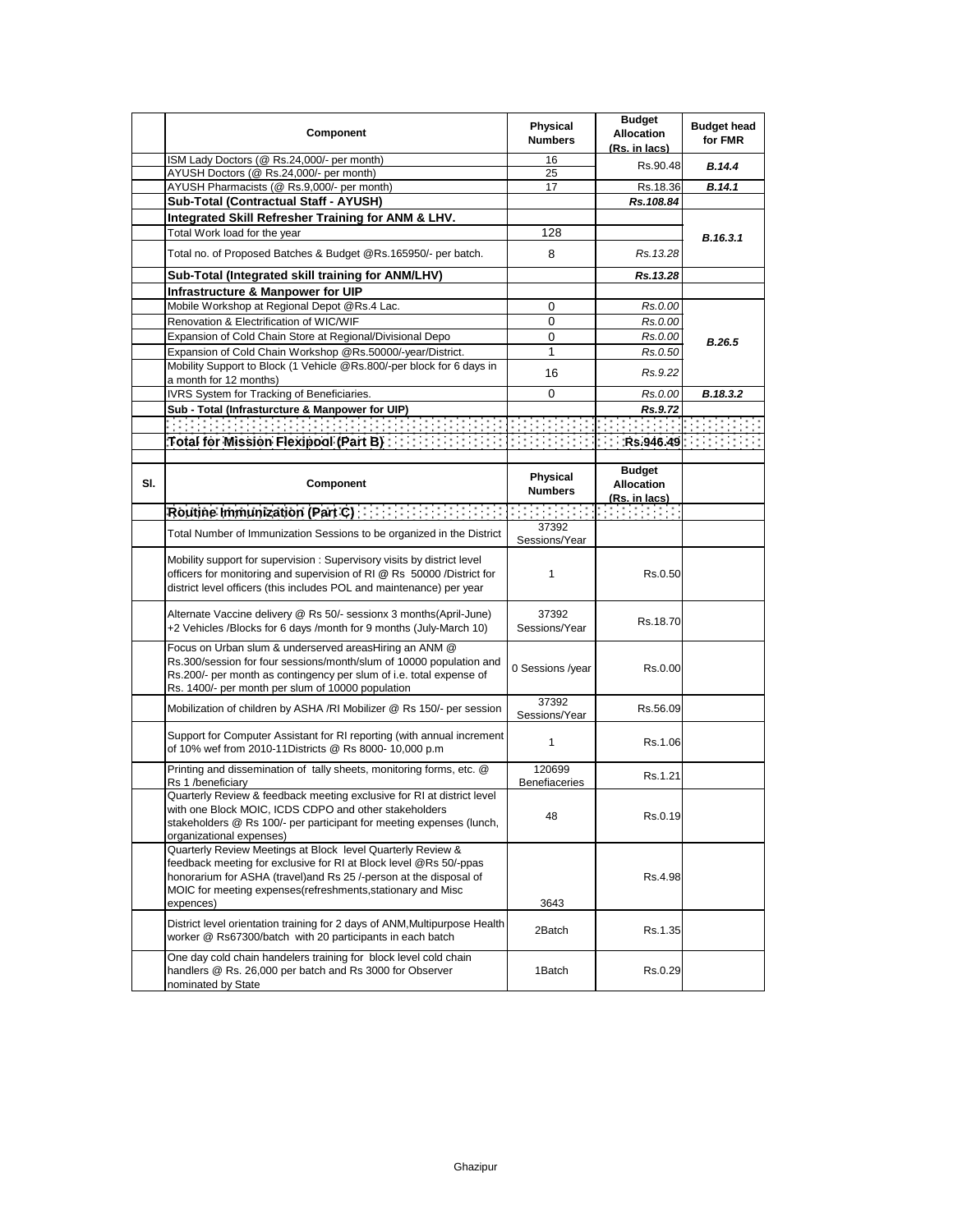|     | Component                                                                                                                                                                                                                                                                           | <b>Physical</b><br><b>Numbers</b> | <b>Budget</b><br><b>Allocation</b><br>(Rs. in lacs) | <b>Budget head</b><br>for FMR |
|-----|-------------------------------------------------------------------------------------------------------------------------------------------------------------------------------------------------------------------------------------------------------------------------------------|-----------------------------------|-----------------------------------------------------|-------------------------------|
|     | ISM Lady Doctors (@ Rs.24,000/- per month)                                                                                                                                                                                                                                          | 16                                | Rs.90.48                                            | <b>B.14.4</b>                 |
|     | AYUSH Doctors (@ Rs.24,000/- per month)                                                                                                                                                                                                                                             | 25                                |                                                     |                               |
|     | AYUSH Pharmacists (@ Rs.9,000/- per month)                                                                                                                                                                                                                                          | 17                                | Rs.18.36                                            | B.14.1                        |
|     | Sub-Total (Contractual Staff - AYUSH)                                                                                                                                                                                                                                               |                                   | Rs.108.84                                           |                               |
|     | Integrated Skill Refresher Training for ANM & LHV.                                                                                                                                                                                                                                  |                                   |                                                     |                               |
|     | Total Work load for the year                                                                                                                                                                                                                                                        | 128                               |                                                     | B.16.3.1                      |
|     | Total no. of Proposed Batches & Budget @Rs.165950/- per batch.                                                                                                                                                                                                                      | 8                                 | Rs. 13.28                                           |                               |
|     | Sub-Total (Integrated skill training for ANM/LHV)                                                                                                                                                                                                                                   |                                   | Rs.13.28                                            |                               |
|     | Infrastructure & Manpower for UIP                                                                                                                                                                                                                                                   |                                   |                                                     |                               |
|     | Mobile Workshop at Regional Depot @Rs.4 Lac.                                                                                                                                                                                                                                        | $\mathbf 0$                       | Rs.0.00                                             |                               |
|     | Renovation & Electrification of WIC/WIF                                                                                                                                                                                                                                             | $\mathbf 0$                       | Rs.0.00                                             |                               |
|     | Expansion of Cold Chain Store at Regional/Divisional Depo                                                                                                                                                                                                                           | 0                                 | Rs.0.00                                             |                               |
|     | Expansion of Cold Chain Workshop @Rs.50000/-year/District.                                                                                                                                                                                                                          | $\mathbf{1}$                      | Rs.0.50                                             | B.26.5                        |
|     | Mobility Support to Block (1 Vehicle @Rs.800/-per block for 6 days in                                                                                                                                                                                                               |                                   |                                                     |                               |
|     | a month for 12 months)                                                                                                                                                                                                                                                              | 16                                | Rs.9.22                                             |                               |
|     | IVRS System for Tracking of Beneficiaries.                                                                                                                                                                                                                                          | 0                                 | Rs.0.00                                             | B.18.3.2                      |
|     | Sub - Total (Infrasturcture & Manpower for UIP)                                                                                                                                                                                                                                     |                                   | Rs.9.72                                             |                               |
|     | 医结核结核结核                                                                                                                                                                                                                                                                             |                                   |                                                     | <b>Contractor</b>             |
|     |                                                                                                                                                                                                                                                                                     |                                   |                                                     |                               |
|     |                                                                                                                                                                                                                                                                                     |                                   |                                                     |                               |
| SI. | Component                                                                                                                                                                                                                                                                           | Physical<br><b>Numbers</b>        | <b>Budget</b><br><b>Allocation</b><br>(Rs. in lacs) |                               |
|     | Routine Immunization (Part C) $\cdots$ $\cdots$ $\cdots$                                                                                                                                                                                                                            |                                   | in in present                                       |                               |
|     | Total Number of Immunization Sessions to be organized in the District                                                                                                                                                                                                               | 37392<br>Sessions/Year            |                                                     |                               |
|     | Mobility support for supervision: Supervisory visits by district level<br>officers for monitoring and supervision of RI @ Rs 50000 /District for<br>district level officers (this includes POL and maintenance) per year                                                            | 1                                 | Rs.0.50                                             |                               |
|     | Alternate Vaccine delivery @ Rs 50/- sessionx 3 months(April-June)<br>+2 Vehicles /Blocks for 6 days /month for 9 months (July-March 10)                                                                                                                                            | 37392<br>Sessions/Year            | Rs.18.70                                            |                               |
|     | Focus on Urban slum & underserved areasHiring an ANM @<br>Rs.300/session for four sessions/month/slum of 10000 population and<br>Rs.200/- per month as contingency per slum of i.e. total expense of<br>Rs. 1400/- per month per slum of 10000 population                           | 0 Sessions /year                  | Rs.0.00                                             |                               |
|     | Mobilization of children by ASHA /RI Mobilizer @ Rs 150/- per session                                                                                                                                                                                                               | 37392<br>Sessions/Year            | Rs.56.09                                            |                               |
|     | Support for Computer Assistant for RI reporting (with annual increment<br>of 10% wef from 2010-11Districts @ Rs 8000-10,000 p.m                                                                                                                                                     | 1                                 | Rs.1.06                                             |                               |
|     | Printing and dissemination of tally sheets, monitoring forms, etc. @<br>Rs 1 /beneficiary                                                                                                                                                                                           | 120699<br><b>Benefiaceries</b>    | Rs.1.21                                             |                               |
|     | Quarterly Review & feedback meeting exclusive for RI at district level<br>with one Block MOIC, ICDS CDPO and other stakeholders<br>stakeholders @ Rs 100/- per participant for meeting expenses (lunch,<br>organizational expenses)                                                 | 48                                | Rs.0.19                                             |                               |
|     | Quarterly Review Meetings at Block level Quarterly Review &<br>feedback meeting for exclusive for RI at Block level @Rs 50/-ppas<br>honorarium for ASHA (travel) and Rs 25 /-person at the disposal of<br>MOIC for meeting expenses (refreshments, stationary and Misc<br>expences) | 3643                              | Rs.4.98                                             |                               |
|     | District level orientation training for 2 days of ANM, Multipurpose Health<br>worker @ Rs67300/batch with 20 participants in each batch                                                                                                                                             | 2Batch                            | Rs.1.35                                             |                               |
|     | One day cold chain handelers training for block level cold chain<br>handlers @ Rs. 26,000 per batch and Rs 3000 for Observer<br>nominated by State                                                                                                                                  | 1Batch                            | Rs.0.29                                             |                               |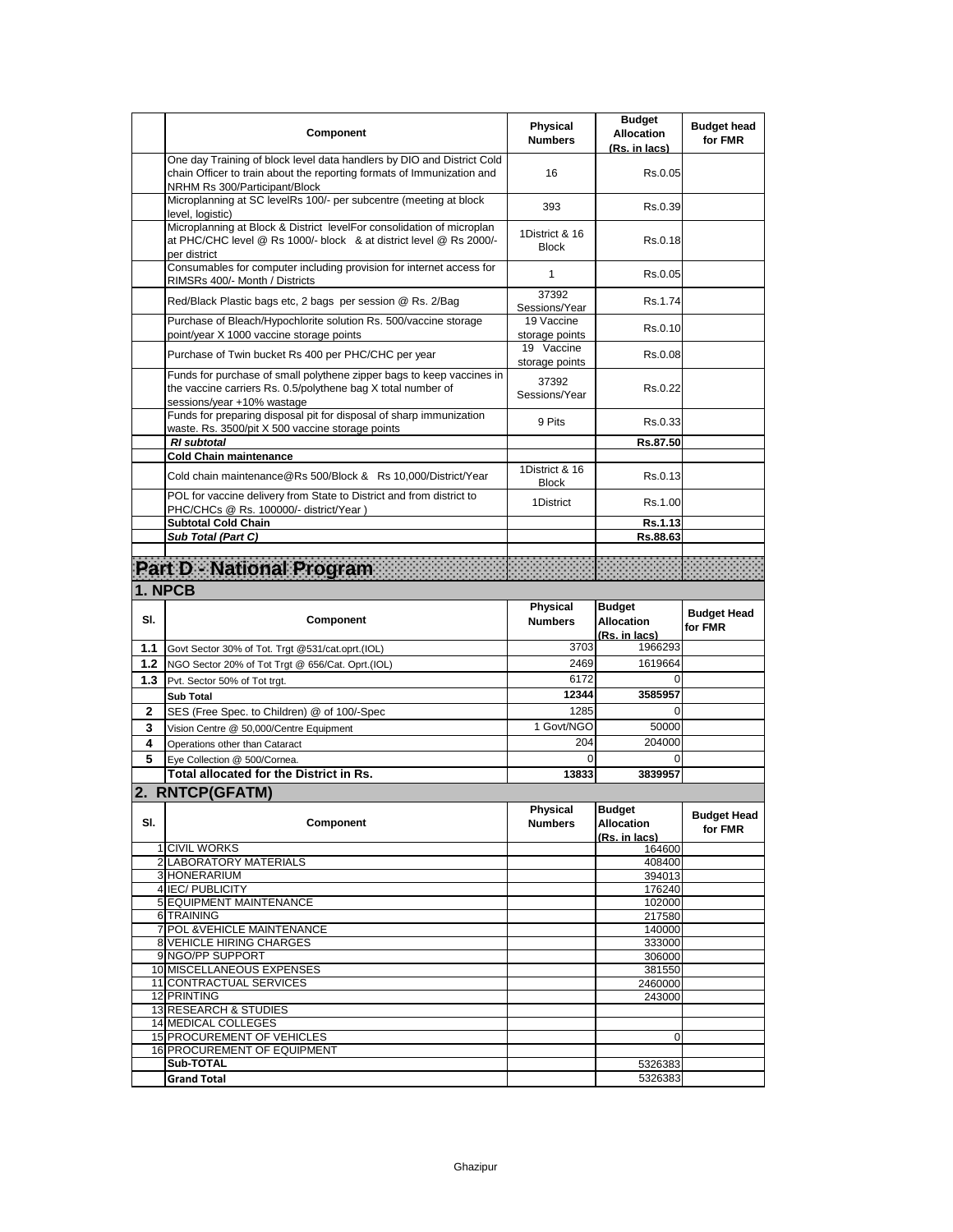|     | Component                                                                                                                                                                         | <b>Physical</b><br><b>Numbers</b> | <b>Budget</b><br><b>Allocation</b><br>(Rs. in lacs) | <b>Budget head</b><br>for FMR |
|-----|-----------------------------------------------------------------------------------------------------------------------------------------------------------------------------------|-----------------------------------|-----------------------------------------------------|-------------------------------|
|     | One day Training of block level data handlers by DIO and District Cold<br>chain Officer to train about the reporting formats of Immunization and<br>NRHM Rs 300/Participant/Block | 16                                | Rs.0.05                                             |                               |
|     | Microplanning at SC levelRs 100/- per subcentre (meeting at block<br>level, logistic)                                                                                             | 393                               | Rs.0.39                                             |                               |
|     | Microplanning at Block & District levelFor consolidation of microplan<br>at PHC/CHC level @ Rs 1000/- block & at district level @ Rs 2000/-<br>per district                       | 1District & 16<br><b>Block</b>    | Rs.0.18                                             |                               |
|     | Consumables for computer including provision for internet access for<br>RIMSRs 400/- Month / Districts                                                                            | 1                                 | Rs.0.05                                             |                               |
|     | Red/Black Plastic bags etc, 2 bags per session @ Rs. 2/Bag                                                                                                                        | 37392<br>Sessions/Year            | Rs.1.74                                             |                               |
|     | Purchase of Bleach/Hypochlorite solution Rs. 500/vaccine storage<br>point/year X 1000 vaccine storage points                                                                      | 19 Vaccine<br>storage points      | Rs.0.10                                             |                               |
|     | Purchase of Twin bucket Rs 400 per PHC/CHC per year                                                                                                                               | 19 Vaccine<br>storage points      | Rs.0.08                                             |                               |
|     | Funds for purchase of small polythene zipper bags to keep vaccines in<br>the vaccine carriers Rs. 0.5/polythene bag X total number of<br>sessions/year +10% wastage               | 37392<br>Sessions/Year            | Rs.0.22                                             |                               |
|     | Funds for preparing disposal pit for disposal of sharp immunization<br>waste. Rs. 3500/pit X 500 vaccine storage points                                                           | 9 Pits                            | Rs.0.33                                             |                               |
|     | <b>RI</b> subtotal<br><b>Cold Chain maintenance</b>                                                                                                                               |                                   | Rs.87.50                                            |                               |
|     | Cold chain maintenance@Rs 500/Block & Rs 10,000/District/Year                                                                                                                     | 1District & 16<br><b>Block</b>    | Rs.0.13                                             |                               |
|     | POL for vaccine delivery from State to District and from district to<br>PHC/CHCs @ Rs. 100000/- district/Year)                                                                    | 1District                         | Rs.1.00                                             |                               |
|     | <b>Subtotal Cold Chain</b><br>Sub Total (Part C)                                                                                                                                  |                                   | Rs.1.13<br>Rs.88.63                                 |                               |
|     |                                                                                                                                                                                   |                                   |                                                     |                               |
|     | Part D National Program                                                                                                                                                           |                                   |                                                     |                               |
|     | 1. NPCB                                                                                                                                                                           |                                   |                                                     |                               |
|     |                                                                                                                                                                                   |                                   |                                                     |                               |
| SI. | Component                                                                                                                                                                         | <b>Physical</b><br><b>Numbers</b> | <b>Budget</b><br><b>Allocation</b>                  | <b>Budget Head</b><br>for FMR |
| 1.1 |                                                                                                                                                                                   | 3703                              | (Rs. in lacs)<br>1966293                            |                               |
| 1.2 | Govt Sector 30% of Tot. Trgt @531/cat.oprt.(IOL)<br>NGO Sector 20% of Tot Trgt @ 656/Cat. Oprt.(IOL)                                                                              | 2469                              | 1619664                                             |                               |
| 1.3 | Pvt. Sector 50% of Tot trgt.                                                                                                                                                      | 6172                              |                                                     |                               |
|     | <b>Sub Total</b>                                                                                                                                                                  | 12344                             | 3585957                                             |                               |
| 2   | SES (Free Spec. to Children) @ of 100/-Spec                                                                                                                                       | 1285                              | 0                                                   |                               |
| 3   | Vision Centre @ 50,000/Centre Equipment                                                                                                                                           | 1 Govt/NGO                        | 50000                                               |                               |
| 4   | Operations other than Cataract                                                                                                                                                    | 204                               | 204000                                              |                               |
| 5   | Eve Collection @ 500/Cornea.                                                                                                                                                      | $\Omega$                          | 0                                                   |                               |
|     | Total allocated for the District in Rs.                                                                                                                                           | 13833                             | 3839957                                             |                               |
|     | 2. RNTCP(GFATM)                                                                                                                                                                   |                                   |                                                     |                               |
| SI. | Component                                                                                                                                                                         | Priysical<br><b>Numbers</b>       | <b>Budget</b><br>Allocation<br>(Rs. in lacs)        | <b>Budget Head</b><br>for FMR |
|     | 1 CIVIL WORKS                                                                                                                                                                     |                                   | 164600                                              |                               |
|     | 2 LABORATORY MATERIALS<br>3 HONERARIUM                                                                                                                                            |                                   | 408400<br>394013                                    |                               |
|     | 4 IEC/ PUBLICITY                                                                                                                                                                  |                                   | 176240                                              |                               |
|     | 5 EQUIPMENT MAINTENANCE                                                                                                                                                           |                                   | 102000                                              |                               |
|     | 6 TRAINING                                                                                                                                                                        |                                   | 217580                                              |                               |
|     | 7 POL & VEHICLE MAINTENANCE<br>8 VEHICLE HIRING CHARGES                                                                                                                           |                                   | 140000<br>333000                                    |                               |
|     | 9 NGO/PP SUPPORT                                                                                                                                                                  |                                   | 306000                                              |                               |
|     | 10 MISCELLANEOUS EXPENSES                                                                                                                                                         |                                   | 381550                                              |                               |
|     | 11 CONTRACTUAL SERVICES                                                                                                                                                           |                                   | 2460000                                             |                               |
|     | 12 PRINTING<br><b>13 RESEARCH &amp; STUDIES</b>                                                                                                                                   |                                   | 243000                                              |                               |
|     | 14 MEDICAL COLLEGES                                                                                                                                                               |                                   |                                                     |                               |
|     | 15 PROCUREMENT OF VEHICLES                                                                                                                                                        |                                   | 0                                                   |                               |
|     | 16 PROCUREMENT OF EQUIPMENT<br>Sub-TOTAL                                                                                                                                          |                                   | 5326383                                             |                               |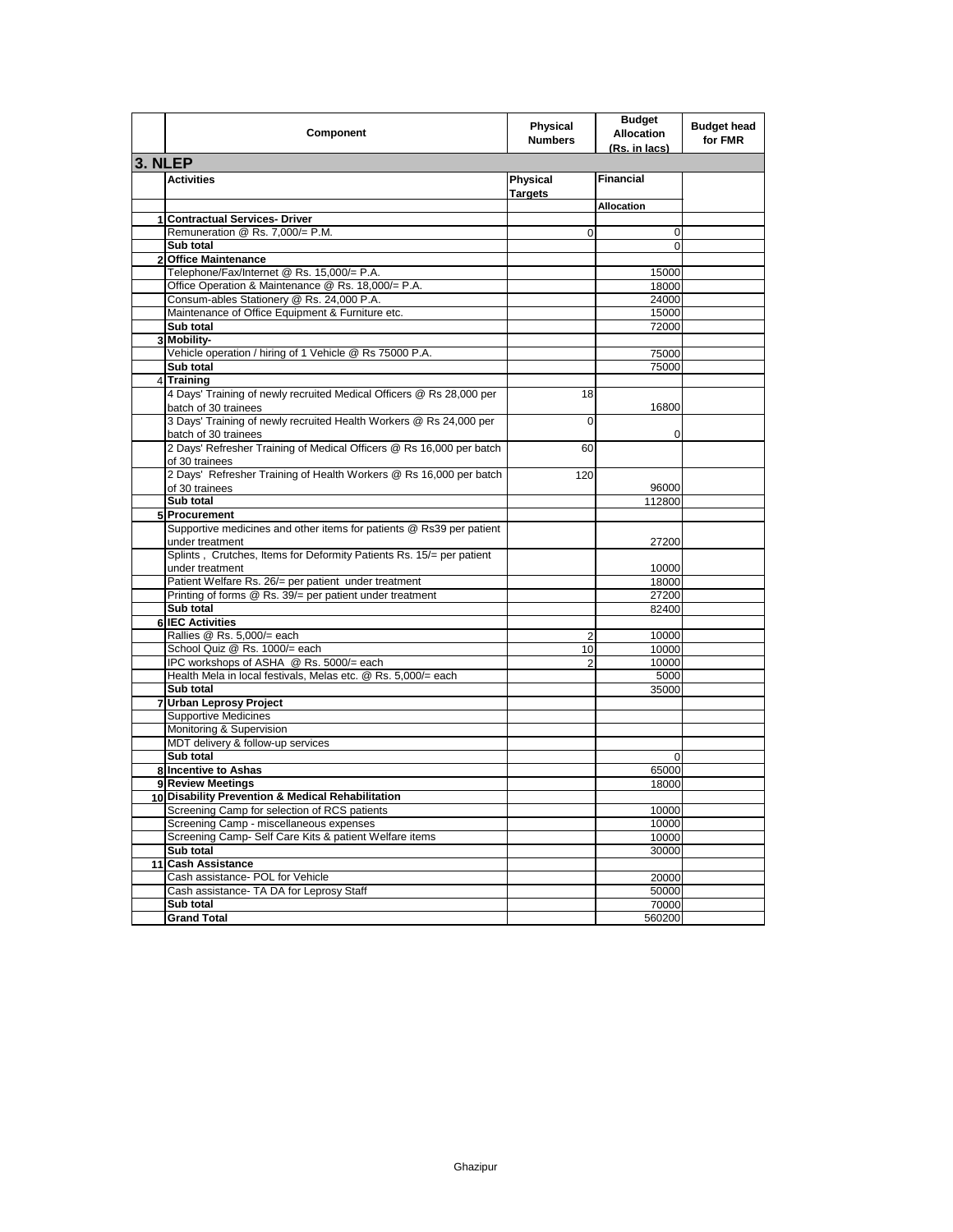|         | Component                                                                                  | <b>Physical</b><br><b>Numbers</b> | <b>Budget</b><br><b>Allocation</b><br>(Rs. in lacs) | <b>Budget head</b><br>for FMR |
|---------|--------------------------------------------------------------------------------------------|-----------------------------------|-----------------------------------------------------|-------------------------------|
| 3. NLEP |                                                                                            |                                   |                                                     |                               |
|         | <b>Activities</b>                                                                          | Physical<br><b>Targets</b>        | <b>Financial</b>                                    |                               |
|         |                                                                                            |                                   | Allocation                                          |                               |
|         | 1 Contractual Services- Driver                                                             |                                   |                                                     |                               |
|         | Remuneration @ Rs. 7,000/= P.M.                                                            | 0                                 | 0                                                   |                               |
|         | Sub total                                                                                  |                                   | 0                                                   |                               |
|         | 2 Office Maintenance                                                                       |                                   |                                                     |                               |
|         | Telephone/Fax/Internet @ Rs. 15,000/= P.A.                                                 |                                   | 15000                                               |                               |
|         | Office Operation & Maintenance @ Rs. 18,000/= P.A.                                         |                                   | 18000                                               |                               |
|         | Consum-ables Stationery @ Rs. 24,000 P.A.                                                  |                                   | 24000                                               |                               |
|         | Maintenance of Office Equipment & Furniture etc.                                           |                                   | 15000                                               |                               |
|         | Sub total                                                                                  |                                   | 72000                                               |                               |
|         | 3 Mobility-                                                                                |                                   |                                                     |                               |
|         | Vehicle operation / hiring of 1 Vehicle @ Rs 75000 P.A.                                    |                                   | 75000                                               |                               |
|         | Sub total<br>4 Training                                                                    |                                   | 75000                                               |                               |
|         | 4 Days' Training of newly recruited Medical Officers @ Rs 28,000 per                       | 18                                |                                                     |                               |
|         | batch of 30 trainees                                                                       |                                   | 16800                                               |                               |
|         | 3 Days' Training of newly recruited Health Workers @ Rs 24,000 per<br>batch of 30 trainees | 0                                 | 0                                                   |                               |
|         | 2 Days' Refresher Training of Medical Officers @ Rs 16,000 per batch<br>of 30 trainees     | 60                                |                                                     |                               |
|         | 2 Days' Refresher Training of Health Workers @ Rs 16,000 per batch                         | 120                               |                                                     |                               |
|         | of 30 trainees                                                                             |                                   | 96000                                               |                               |
|         | Sub total                                                                                  |                                   | 112800                                              |                               |
| 5       | Procurement                                                                                |                                   |                                                     |                               |
|         | Supportive medicines and other items for patients @ Rs39 per patient<br>under treatment    |                                   | 27200                                               |                               |
|         | Splints, Crutches, Items for Deformity Patients Rs. 15/= per patient<br>under treatment    |                                   | 10000                                               |                               |
|         | Patient Welfare Rs. 26/= per patient under treatment                                       |                                   | 18000                                               |                               |
|         | Printing of forms @ Rs. 39/= per patient under treatment                                   |                                   | 27200                                               |                               |
|         | Sub total                                                                                  |                                   | 82400                                               |                               |
|         | 6 IEC Activities                                                                           |                                   |                                                     |                               |
|         | Rallies @ Rs. 5,000/= each                                                                 | 2                                 | 10000                                               |                               |
|         | School Quiz @ Rs. 1000/= each                                                              | 10                                | 10000                                               |                               |
|         | IPC workshops of ASHA @ Rs. 5000/= each                                                    | $\overline{2}$                    | 10000                                               |                               |
|         | Health Mela in local festivals, Melas etc. @ Rs. 5,000/= each                              |                                   | 5000                                                |                               |
|         | Sub total                                                                                  |                                   | 35000                                               |                               |
|         | 7 Urban Leprosy Project                                                                    |                                   |                                                     |                               |
|         | <b>Supportive Medicines</b>                                                                |                                   |                                                     |                               |
|         | Monitoring & Supervision                                                                   |                                   |                                                     |                               |
|         | MDT delivery & follow-up services                                                          |                                   |                                                     |                               |
|         | Sub total                                                                                  |                                   | 0                                                   |                               |
|         | 8 Incentive to Ashas                                                                       |                                   | 65000                                               |                               |
|         | 9 Review Meetings                                                                          |                                   | 18000                                               |                               |
|         | 10 Disability Prevention & Medical Rehabilitation                                          |                                   |                                                     |                               |
|         | Screening Camp for selection of RCS patients                                               |                                   | 10000                                               |                               |
|         | Screening Camp - miscellaneous expenses                                                    |                                   | 10000                                               |                               |
|         | Screening Camp- Self Care Kits & patient Welfare items                                     |                                   | 10000                                               |                               |
|         | Sub total                                                                                  |                                   | 30000                                               |                               |
|         | 11 Cash Assistance                                                                         |                                   |                                                     |                               |
|         | Cash assistance- POL for Vehicle                                                           |                                   | 20000<br>50000                                      |                               |
|         | Cash assistance- TA DA for Leprosy Staff<br>Sub total                                      |                                   | 70000                                               |                               |
|         | <b>Grand Total</b>                                                                         |                                   | 560200                                              |                               |
|         |                                                                                            |                                   |                                                     |                               |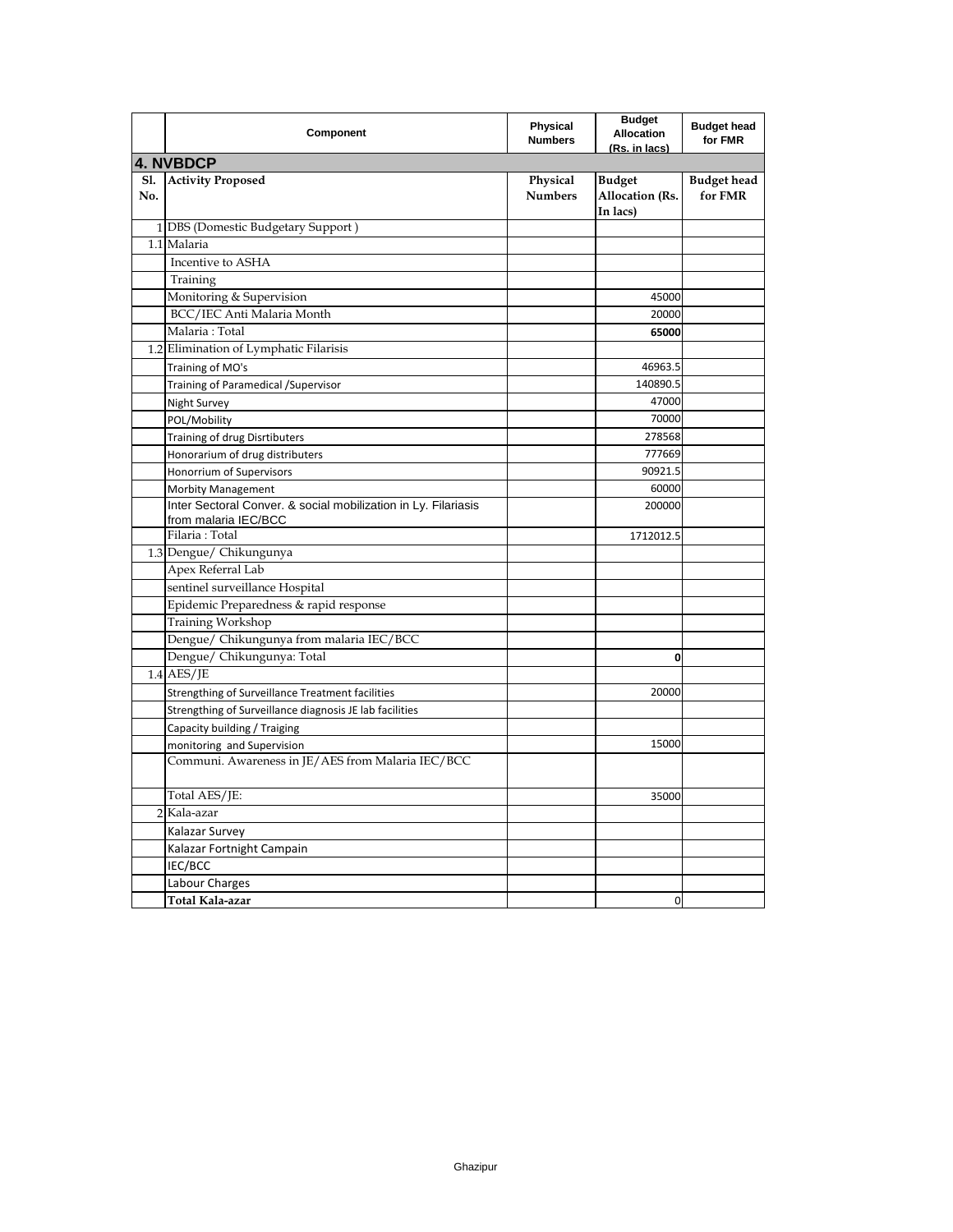|                   | Component                                                                              | Physical<br><b>Numbers</b> | <b>Budget</b><br><b>Allocation</b><br>(Rs. in lacs) | <b>Budget head</b><br>for FMR |
|-------------------|----------------------------------------------------------------------------------------|----------------------------|-----------------------------------------------------|-------------------------------|
|                   | <b>4. NVBDCP</b>                                                                       |                            |                                                     |                               |
| <b>Sl.</b><br>No. | <b>Activity Proposed</b>                                                               | Physical<br><b>Numbers</b> | <b>Budget</b><br>Allocation (Rs.<br>In lacs)        | <b>Budget head</b><br>for FMR |
|                   | 1 DBS (Domestic Budgetary Support)                                                     |                            |                                                     |                               |
|                   | 1.1 Malaria                                                                            |                            |                                                     |                               |
|                   | Incentive to ASHA                                                                      |                            |                                                     |                               |
|                   | Training                                                                               |                            |                                                     |                               |
|                   | Monitoring & Supervision                                                               |                            | 45000                                               |                               |
|                   | BCC/IEC Anti Malaria Month                                                             |                            | 20000                                               |                               |
|                   | Malaria: Total                                                                         |                            | 65000                                               |                               |
|                   | 1.2 Elimination of Lymphatic Filarisis                                                 |                            |                                                     |                               |
|                   | Training of MO's                                                                       |                            | 46963.5                                             |                               |
|                   | Training of Paramedical / Supervisor                                                   |                            | 140890.5                                            |                               |
|                   | Night Survey                                                                           |                            | 47000                                               |                               |
|                   | POL/Mobility                                                                           |                            | 70000                                               |                               |
|                   | Training of drug Disrtibuters                                                          |                            | 278568                                              |                               |
|                   | Honorarium of drug distributers                                                        |                            | 777669                                              |                               |
|                   | Honorrium of Supervisors                                                               |                            | 90921.5                                             |                               |
|                   | <b>Morbity Management</b>                                                              |                            | 60000                                               |                               |
|                   | Inter Sectoral Conver. & social mobilization in Ly. Filariasis<br>from malaria IEC/BCC |                            | 200000                                              |                               |
|                   | Filaria: Total                                                                         |                            | 1712012.5                                           |                               |
|                   | 1.3 Dengue/ Chikungunya                                                                |                            |                                                     |                               |
|                   | Apex Referral Lab                                                                      |                            |                                                     |                               |
|                   | sentinel surveillance Hospital                                                         |                            |                                                     |                               |
|                   | Epidemic Preparedness & rapid response                                                 |                            |                                                     |                               |
|                   | Training Workshop                                                                      |                            |                                                     |                               |
|                   | Dengue/ Chikungunya from malaria IEC/BCC                                               |                            |                                                     |                               |
|                   | Dengue/ Chikungunya: Total                                                             |                            | 0                                                   |                               |
|                   | $1.4$ AES/JE                                                                           |                            |                                                     |                               |
|                   | Strengthing of Surveillance Treatment facilities                                       |                            | 20000                                               |                               |
|                   | Strengthing of Surveillance diagnosis JE lab facilities                                |                            |                                                     |                               |
|                   | Capacity building / Traiging                                                           |                            |                                                     |                               |
|                   | monitoring and Supervision                                                             |                            | 15000                                               |                               |
|                   | Communi. Awareness in JE/AES from Malaria IEC/BCC                                      |                            |                                                     |                               |
|                   | Total AES/JE:                                                                          |                            | 35000                                               |                               |
|                   | $2$ Kala-azar                                                                          |                            |                                                     |                               |
|                   | Kalazar Survey                                                                         |                            |                                                     |                               |
|                   | Kalazar Fortnight Campain                                                              |                            |                                                     |                               |
|                   | IEC/BCC                                                                                |                            |                                                     |                               |
|                   | Labour Charges                                                                         |                            |                                                     |                               |
|                   | Total Kala-azar                                                                        |                            | 0                                                   |                               |